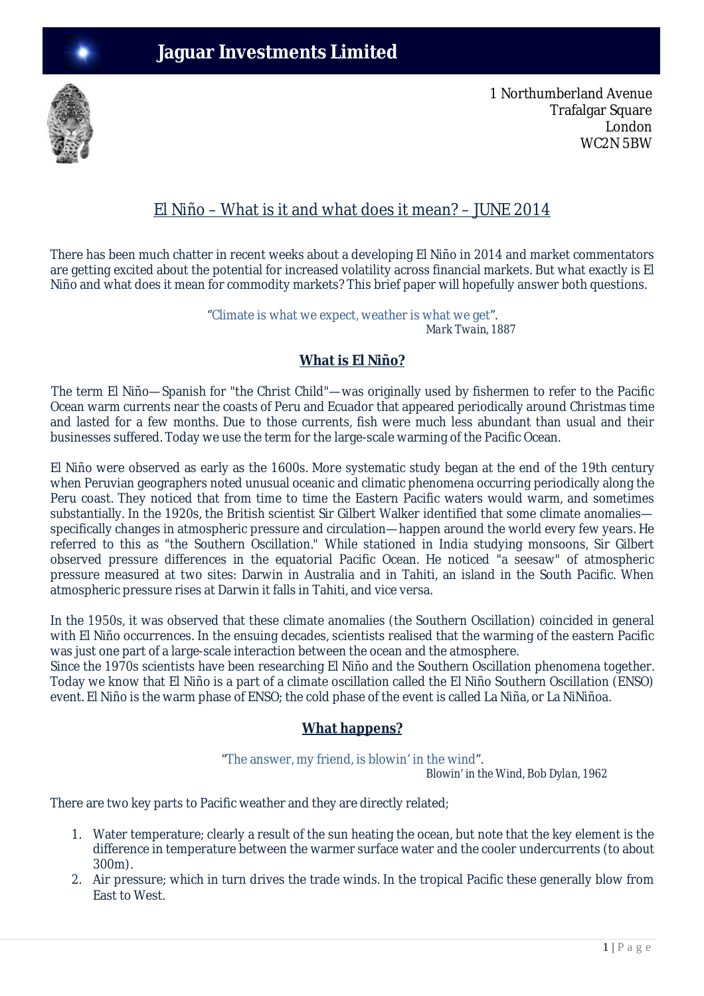

1 Northumberland Avenue Trafalgar Square London WC2N 5BW

## El Niño – What is it and what does it mean? – JUNE 2014

There has been much chatter in recent weeks about a developing El Niño in 2014 and market commentators are getting excited about the potential for increased volatility across financial markets. But what exactly is El Niño and what does it mean for commodity markets? This brief paper will hopefully answer both questions.

> "Climate is what we expect, weather is what we get".  *Mark Twain, 1887*

## **What is El Niño?**

The term El Niño—Spanish for "the Christ Child"—was originally used by fishermen to refer to the Pacific Ocean warm currents near the coasts of Peru and Ecuador that appeared periodically around Christmas time and lasted for a few months. Due to those currents, fish were much less abundant than usual and their businesses suffered. Today we use the term for the large-scale warming of the Pacific Ocean.

El Niño were observed as early as the 1600s. More systematic study began at the end of the 19th century when Peruvian geographers noted unusual oceanic and climatic phenomena occurring periodically along the Peru coast. They noticed that from time to time the Eastern Pacific waters would warm, and sometimes substantially. In the 1920s, the British scientist Sir Gilbert Walker identified that some climate anomalies specifically changes in atmospheric pressure and circulation—happen around the world every few years. He referred to this as "the Southern Oscillation." While stationed in India studying monsoons, Sir Gilbert observed pressure differences in the equatorial Pacific Ocean. He noticed "a seesaw" of atmospheric pressure measured at two sites: Darwin in Australia and in Tahiti, an island in the South Pacific. When atmospheric pressure rises at Darwin it falls in Tahiti, and vice versa.

In the 1950s, it was observed that these climate anomalies (the Southern Oscillation) coincided in general with El Niño occurrences. In the ensuing decades, scientists realised that the warming of the eastern Pacific was just one part of a large-scale interaction between the ocean and the atmosphere.

Since the 1970s scientists have been researching El Niño and the Southern Oscillation phenomena together. Today we know that El Niño is a part of a climate oscillation called the El Niño Southern Oscillation (ENSO) event. El Niño is the warm phase of ENSO; the cold phase of the event is called La Niña, or La NiNiñoa.

### **What happens?**

"The answer, my friend, is blowin' in the wind".

 *Blowin' in the Wind, Bob Dylan, 1962*

There are two key parts to Pacific weather and they are directly related;

- 1. Water temperature; clearly a result of the sun heating the ocean, but note that the key element is the difference in temperature between the warmer surface water and the cooler undercurrents (to about 300m).
- 2. Air pressure; which in turn drives the trade winds. In the tropical Pacific these generally blow from East to West.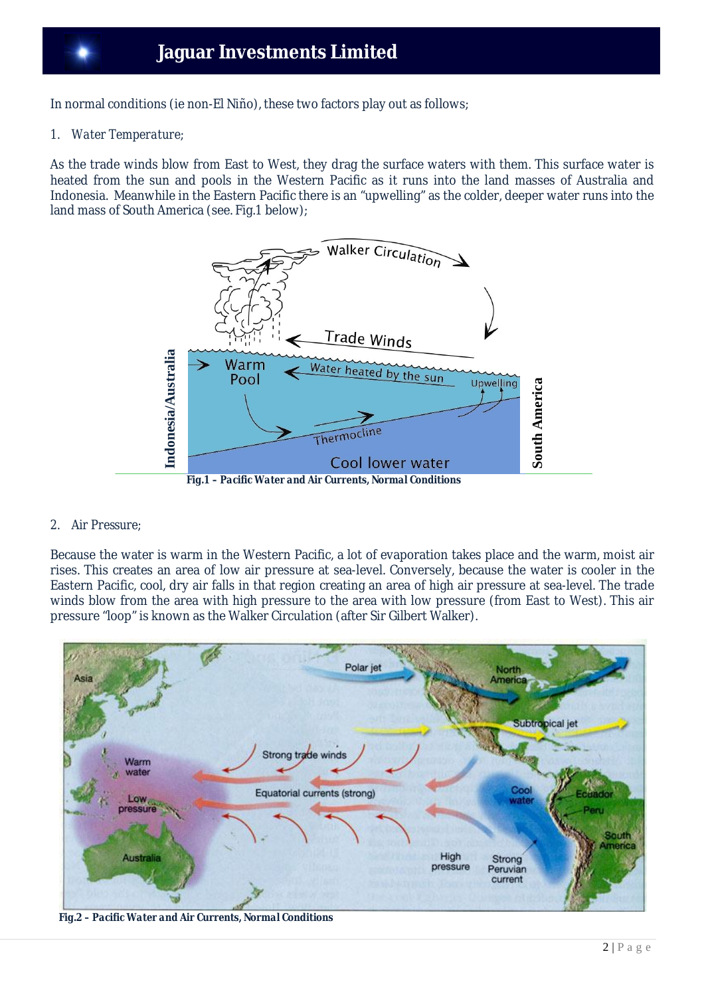In normal conditions (ie non-El Niño), these two factors play out as follows;

#### *1. Water Temperature;*

As the trade winds blow from East to West, they drag the surface waters with them. This surface water is heated from the sun and pools in the Western Pacific as it runs into the land masses of Australia and Indonesia. Meanwhile in the Eastern Pacific there is an "upwelling" as the colder, deeper water runs into the land mass of South America (see. Fig.1 below);



#### *2. Air Pressure;*

Because the water is warm in the Western Pacific, a lot of evaporation takes place and the warm, moist air rises. This creates an area of low air pressure at sea-level. Conversely, because the water is cooler in the Eastern Pacific, cool, dry air falls in that region creating an area of high air pressure at sea-level. The trade winds blow from the area with high pressure to the area with low pressure (from East to West). This air pressure "loop" is known as the Walker Circulation (after Sir Gilbert Walker).

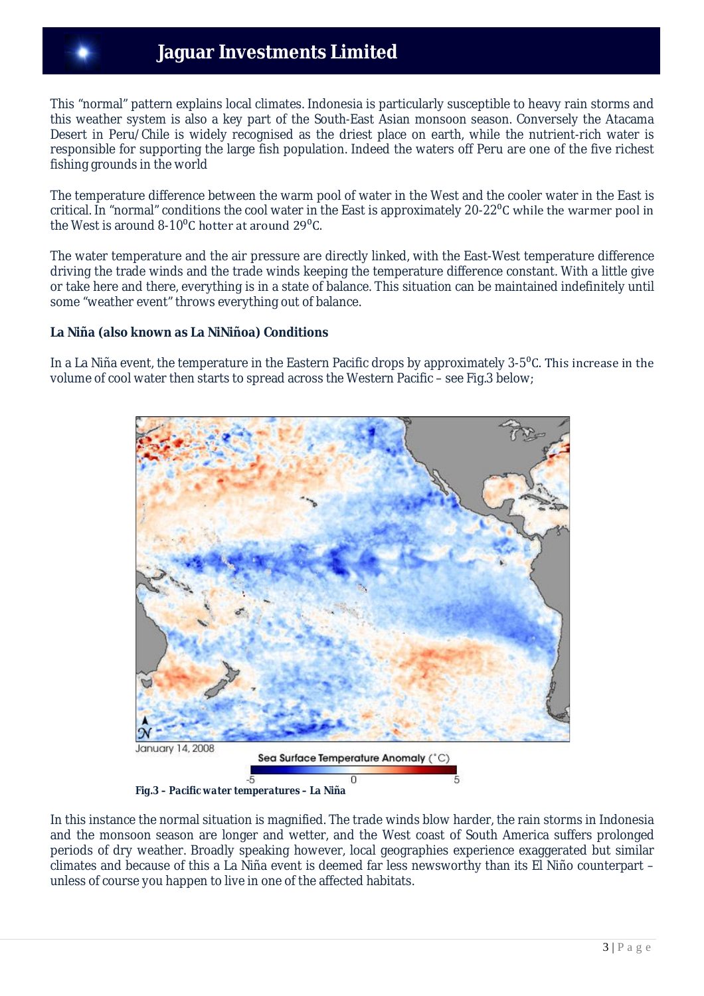# **Jaguar Investments Limited**

This "normal" pattern explains local climates. Indonesia is particularly susceptible to heavy rain storms and this weather system is also a key part of the South-East Asian monsoon season. Conversely the Atacama Desert in Peru/Chile is widely recognised as the driest place on earth, while the nutrient-rich water is responsible for supporting the large fish population. Indeed the waters off Peru are one of the five richest fishing grounds in the world

The temperature difference between the warm pool of water in the West and the cooler water in the East is critical. In "normal" conditions the cool water in the East is approximately 20-22<sup>o</sup>C while the warmer pool in the West is around 8-10 $^0$ C hotter at around 29 $^0$ C.

The water temperature and the air pressure are directly linked, with the East-West temperature difference driving the trade winds and the trade winds keeping the temperature difference constant. With a little give or take here and there, everything is in a state of balance. This situation can be maintained indefinitely until some "weather event" throws everything out of balance.

#### **La Niña (also known as La NiNiñoa) Conditions**

In a La Niña event, the temperature in the Eastern Pacific drops by approximately 3-5<sup>o</sup>C. This increase in the volume of cool water then starts to spread across the Western Pacific – see Fig.3 below;



*Fig.3 – Pacific water temperatures – La Niña* 

In this instance the normal situation is magnified. The trade winds blow harder, the rain storms in Indonesia and the monsoon season are longer and wetter, and the West coast of South America suffers prolonged periods of dry weather. Broadly speaking however, local geographies experience exaggerated but similar climates and because of this a La Niña event is deemed far less newsworthy than its El Niño counterpart – unless of course you happen to live in one of the affected habitats.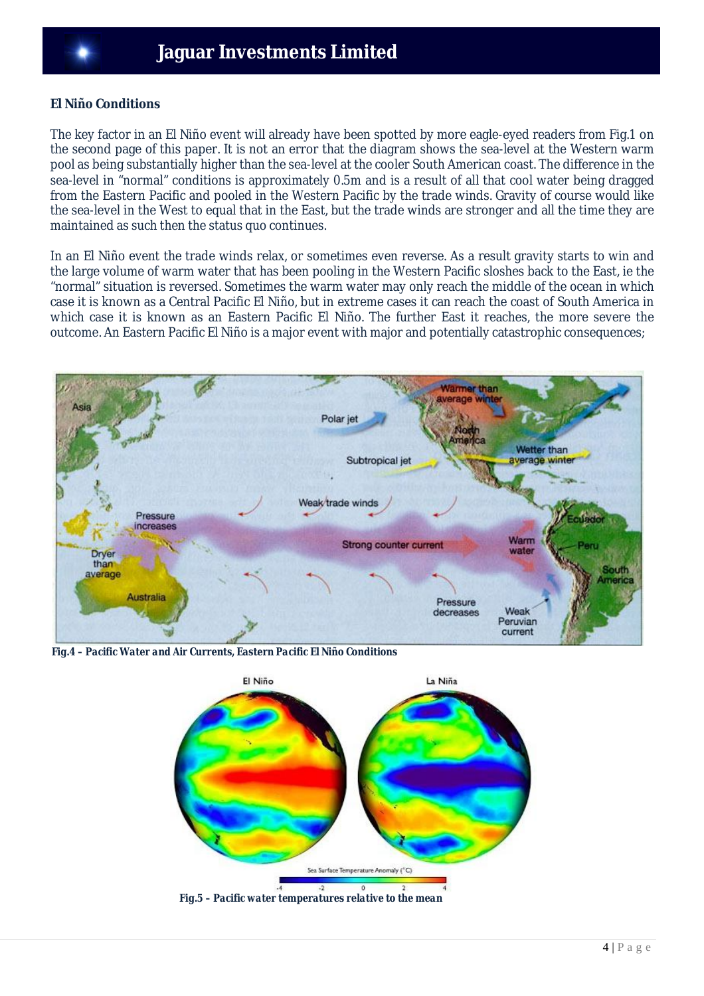#### **El Niño Conditions**

The key factor in an El Niño event will already have been spotted by more eagle-eyed readers from Fig.1 on the second page of this paper. It is not an error that the diagram shows the sea-level at the Western warm pool as being substantially higher than the sea-level at the cooler South American coast. The difference in the sea-level in "normal" conditions is approximately 0.5m and is a result of all that cool water being dragged from the Eastern Pacific and pooled in the Western Pacific by the trade winds. Gravity of course would like the sea-level in the West to equal that in the East, but the trade winds are stronger and all the time they are maintained as such then the status quo continues.

In an El Niño event the trade winds relax, or sometimes even reverse. As a result gravity starts to win and the large volume of warm water that has been pooling in the Western Pacific sloshes back to the East, ie the "normal" situation is reversed. Sometimes the warm water may only reach the middle of the ocean in which case it is known as a Central Pacific El Niño, but in extreme cases it can reach the coast of South America in which case it is known as an Eastern Pacific El Niño. The further East it reaches, the more severe the outcome. An Eastern Pacific El Niño is a major event with major and potentially catastrophic consequences;



 *Fig.4 – Pacific Water and Air Currents, Eastern Pacific El Niño Conditions*



 *Fig.5 – Pacific water temperatures relative to the mean*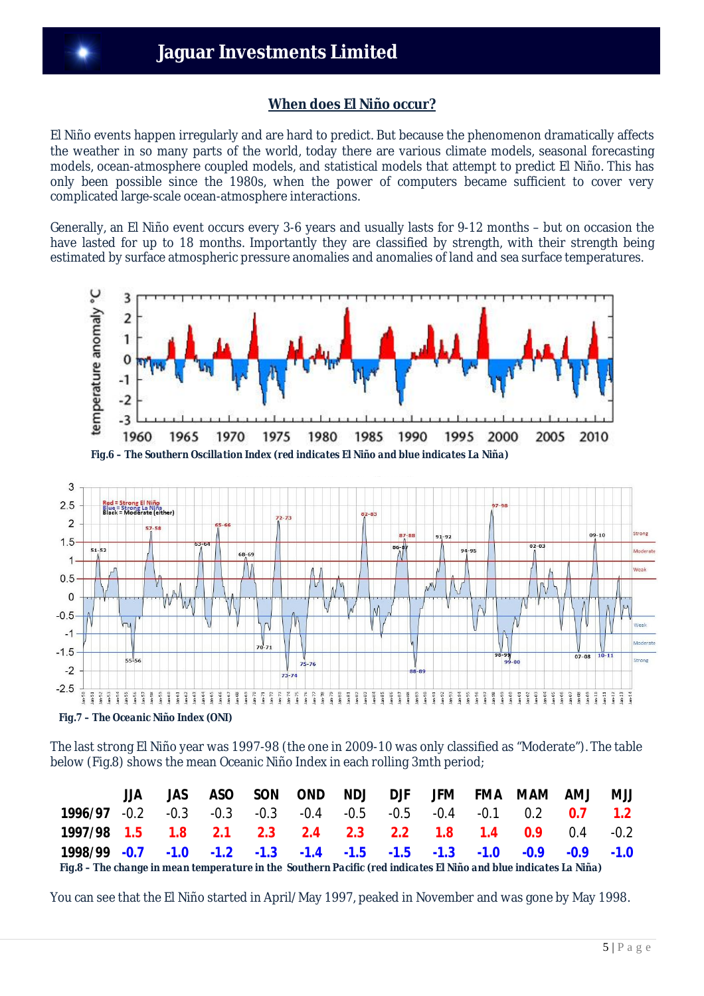### **When does El Niño occur?**

El Niño events happen irregularly and are hard to predict. But because the phenomenon dramatically affects the weather in so many parts of the world, today there are various climate models, seasonal forecasting models, ocean-atmosphere coupled models, and statistical models that attempt to predict El Niño. This has only been possible since the 1980s, when the power of computers became sufficient to cover very complicated large-scale ocean-atmosphere interactions.

Generally, an El Niño event occurs every 3-6 years and usually lasts for 9-12 months – but on occasion the have lasted for up to 18 months. Importantly they are classified by strength, with their strength being estimated by surface atmospheric pressure anomalies and anomalies of land and sea surface temperatures.



The last strong El Niño year was 1997-98 (the one in 2009-10 was only classified as "Moderate"). The table below (Fig.8) shows the mean Oceanic Niño Index in each rolling 3mth period;

|                                                                                                                   | JJA. |  |  |  |  |  |  |  | JAS ASO SON OND NDJ DJF JFM FMA MAM AMJ | <b>UMJ</b> |
|-------------------------------------------------------------------------------------------------------------------|------|--|--|--|--|--|--|--|-----------------------------------------|------------|
| <b>1996/97</b> 0.2 0.3 0.3 0.3 0.4 0.5 0.5 0.4 0.1 0.2 <b>0.7 1.2</b>                                             |      |  |  |  |  |  |  |  |                                         |            |
| 1997/98 1.5 1.8 2.1 2.3 2.4 2.3 2.2 1.8 1.4 0.9 0.4 0.2                                                           |      |  |  |  |  |  |  |  |                                         |            |
| $1998/99$ $-0.7$ $-1.0$ $-1.2$ $-1.3$ $-1.4$ $-1.5$ $-1.5$ $-1.3$ $-1.0$ $-0.9$ $-0.9$ $-1.0$                     |      |  |  |  |  |  |  |  |                                         |            |
| Fig.8 - The change in mean temperature in the Southern Pacific (red indicates El Niño and blue indicates La Niña) |      |  |  |  |  |  |  |  |                                         |            |

You can see that the El Niño started in April/May 1997, peaked in November and was gone by May 1998.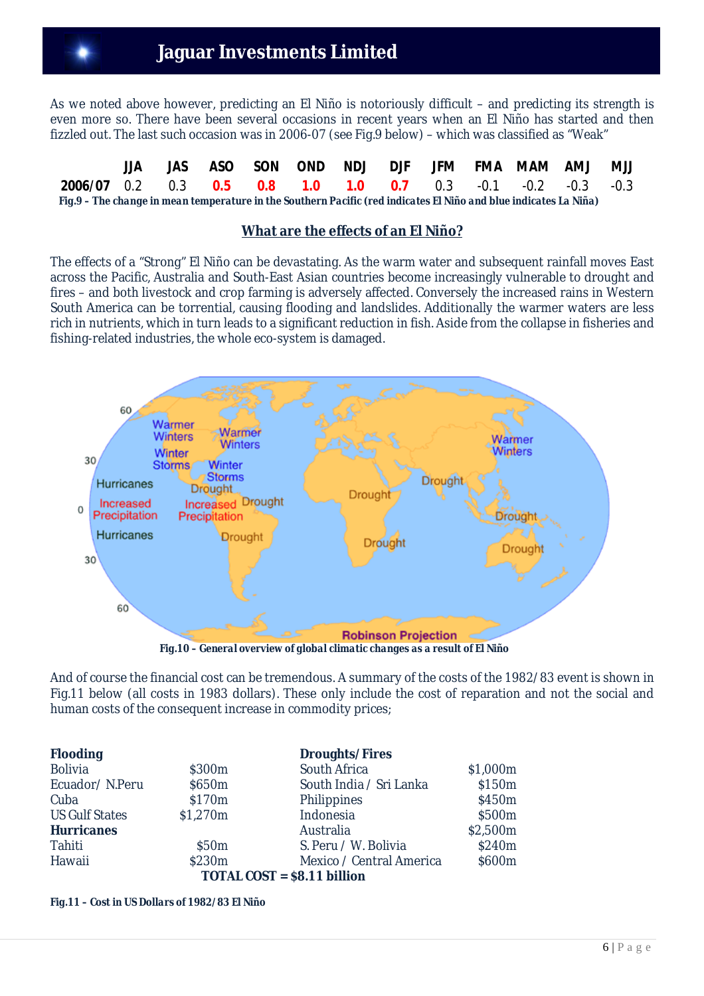# **Jaguar Investments Limited**

As we noted above however, predicting an El Niño is notoriously difficult – and predicting its strength is even more so. There have been several occasions in recent years when an El Niño has started and then fizzled out. The last such occasion was in 2006-07 (see Fig.9 below) – which was classified as "Weak"

|                                                                                                                   |  |  |  |  | JAS ASO SON OND NDJ DJF JFM FMA MAM AMJ MJJ |  |
|-------------------------------------------------------------------------------------------------------------------|--|--|--|--|---------------------------------------------|--|
| <b>2006/07</b> 0.2 0.3 <b>0.5 0.8 1.0 1.0 0.7</b> 0.3 -0.1 -0.2 -0.3 -0.3                                         |  |  |  |  |                                             |  |
| Fig.9 – The change in mean temperature in the Southern Pacific (red indicates El Niño and blue indicates La Niña) |  |  |  |  |                                             |  |

#### **What are the effects of an El Niño?**

The effects of a "Strong" El Niño can be devastating. As the warm water and subsequent rainfall moves East across the Pacific, Australia and South-East Asian countries become increasingly vulnerable to drought and fires – and both livestock and crop farming is adversely affected. Conversely the increased rains in Western South America can be torrential, causing flooding and landslides. Additionally the warmer waters are less rich in nutrients, which in turn leads to a significant reduction in fish. Aside from the collapse in fisheries and fishing-related industries, the whole eco-system is damaged.



 *Fig.10 – General overview of global climatic changes as a result of El Niño*

And of course the financial cost can be tremendous. A summary of the costs of the 1982/83 event is shown in Fig.11 below (all costs in 1983 dollars). These only include the cost of reparation and not the social and human costs of the consequent increase in commodity prices;

| <b>Flooding</b>       |                   | <b>Droughts/Fires</b>       |          |
|-----------------------|-------------------|-----------------------------|----------|
| <b>Bolivia</b>        | \$300m            | South Africa                | \$1,000m |
| Ecuador/N.Peru        | \$650m            | South India / Sri Lanka     | \$150m   |
| Cuba                  | \$170m            | Philippines                 | \$450m   |
| <b>US Gulf States</b> | \$1,270m          | Indonesia                   | \$500m   |
| <b>Hurricanes</b>     |                   | Australia                   | \$2,500m |
| Tahiti                | \$50 <sub>m</sub> | S. Peru / W. Bolivia        | \$240m   |
| Hawaii                | \$230m            | Mexico / Central America    | \$600m   |
|                       |                   | TOTAL COST = \$8.11 billion |          |

*Fig.11 – Cost in US Dollars of 1982/83 El Niño*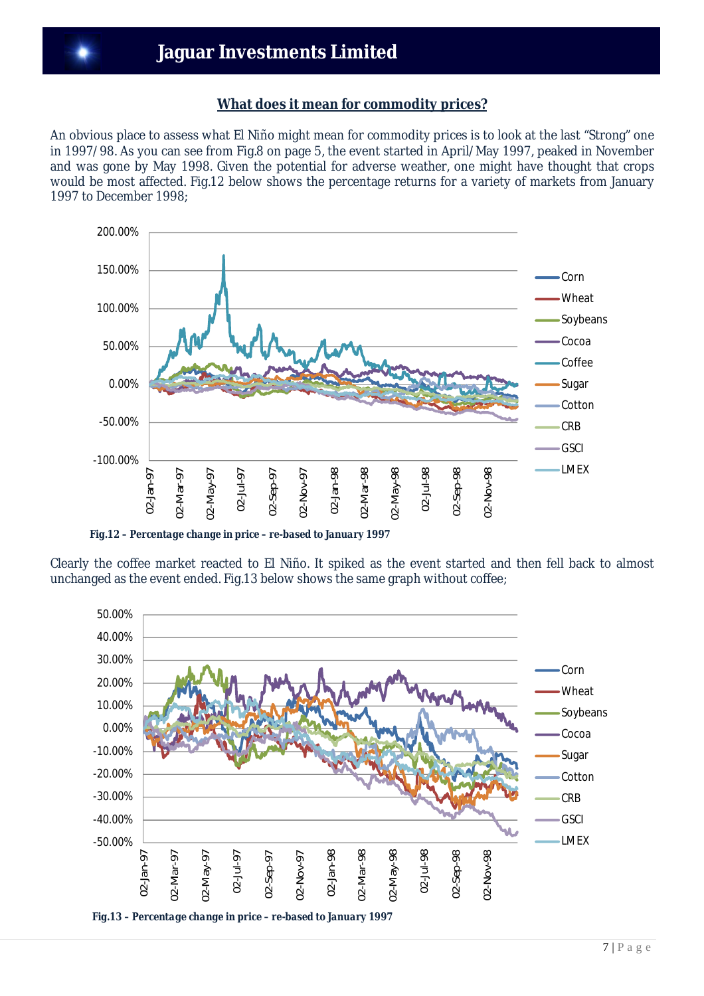### **What does it mean for commodity prices?**

An obvious place to assess what El Niño might mean for commodity prices is to look at the last "Strong" one in 1997/98. As you can see from Fig.8 on page 5, the event started in April/May 1997, peaked in November and was gone by May 1998. Given the potential for adverse weather, one might have thought that crops would be most affected. Fig.12 below shows the percentage returns for a variety of markets from January 1997 to December 1998;



 *Fig.12 – Percentage change in price – re-based to January 1997*

Clearly the coffee market reacted to El Niño. It spiked as the event started and then fell back to almost unchanged as the event ended. Fig.13 below shows the same graph without coffee;



 *Fig.13 – Percentage change in price – re-based to January 1997*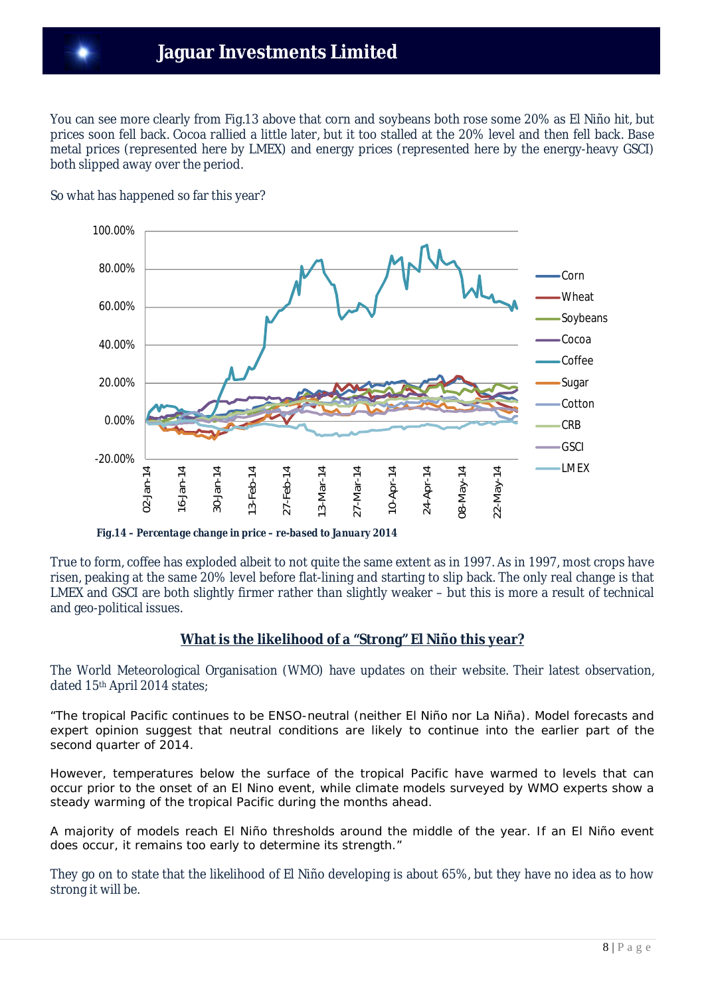You can see more clearly from Fig.13 above that corn and soybeans both rose some 20% as El Niño hit, but prices soon fell back. Cocoa rallied a little later, but it too stalled at the 20% level and then fell back. Base metal prices (represented here by LMEX) and energy prices (represented here by the energy-heavy GSCI) both slipped away over the period.



So what has happened so far this year?

 *Fig.14 – Percentage change in price – re-based to January 2014*

True to form, coffee has exploded albeit to not quite the same extent as in 1997. As in 1997, most crops have risen, peaking at the same 20% level before flat-lining and starting to slip back. The only real change is that LMEX and GSCI are both slightly firmer rather than slightly weaker – but this is more a result of technical and geo-political issues.

### **What is the likelihood of a "Strong" El Niño this year?**

The World Meteorological Organisation (WMO) have updates on their website. Their latest observation, dated 15th April 2014 states;

*"The tropical Pacific continues to be ENSO-neutral (neither El Niño nor La Niña). Model forecasts and*  expert opinion suggest that neutral conditions are likely to continue into the earlier part of the *second quarter of 2014.* 

*However, temperatures below the surface of the tropical Pacific have warmed to levels that can occur prior to the onset of an El Nino event, while climate models surveyed by WMO experts show a steady warming of the tropical Pacific during the months ahead.* 

*A majority of models reach El Niño thresholds around the middle of the year. If an El Niño event does occur, it remains too early to determine its strength."*

They go on to state that the likelihood of El Niño developing is about 65%, but they have no idea as to how strong it will be.